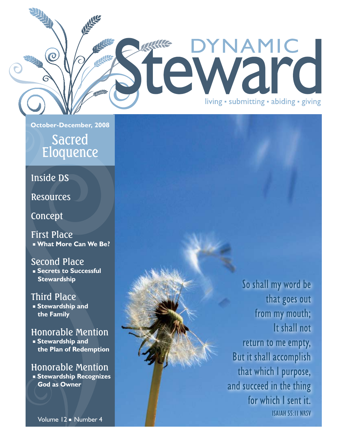**October-December, 2008**

References

ASK AND

RAKC

### Sacred Eloquence

### Inside DS

 $\overline{O}$ 

**Resources** 

### Concept

First Place ■ **What More Can We Be?**

### Second Place

 ■ **Secrets to Successful Stewardship**

### Third Place

 ■ **Stewardship and the Family**

### Honorable Mention

 ■ **Stewardship and the Plan of Redemption**

### Honorable Mention ■ **Stewardship Recognizes God as Owner**

from my mouth; It shall not return to me empty, But it shall accomplish that which I purpose, and succeed in the thing for which I sent it. **ISAIAH 55:11 NRSV** 

So shall my word be

that goes out

DYNAMIC

living · submitting · abiding · giving

tewar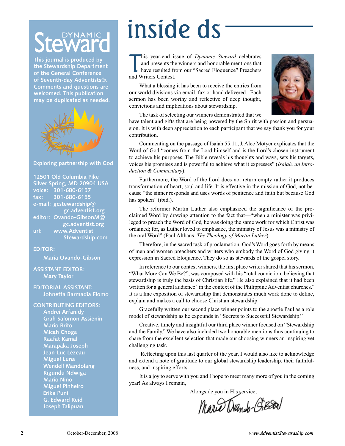**This journal is produced by the Stewardship Department of the General Conference of Seventh-day Adventists®. Comments and questions are welcomed. This publication may be duplicated as needed.**



#### **Exploring partnership with God**

**12501 Old Columbia Pike Silver Spring, MD 20904 USA voice: 301-680-6157 fax: 301-680-6155 e-mail: gcstewardship@ gc.adventist.org editor: Ovando-GibsonM@ gc.adventist.org url: www.Adventist Stewardship.com**

#### **EDITOR:**

**Maria Ovando-Gibson**

#### **ASSISTANT EDITOR: Mary Taylor**

#### **EDITORIAL ASSISTANT: Johnetta Barmadia Flomo**

**CONTRIBUTING EDITORS: Andrei Arfanidy Grah Salomon Assienin Mario Brito Micah Choga Raafat Kamal Marapaka Joseph Jean-Luc Lézeau Miguel Luna Wendell Mandolang Kigundu Ndwiga Mario Niño Miguel Pinheiro Erika Puni G. Edward Reid Joseph Talipuan**

## inside ds

his year-end is<br>and presents the<br>have resulted fro<br>and Writers Contest. his year-end issue of *Dynamic Steward* celebrates and presents the winners and honorable mentions that have resulted from our "Sacred Eloquence" Preachers

What a blessing it has been to receive the entries from our world divisions via email, fax or hand delivered. Each sermon has been worthy and reflective of deep thought, convictions and implications about stewardship.



The task of selecting our winners demonstrated that we

have talent and gifts that are being powered by the Spirit with passion and persuasion. It is with deep appreciation to each participant that we say thank you for your contribution.

Commenting on the passage of Isaiah 55:11, J. Alec Motyer explicates that the Word of God "comes from the Lord himself and is the Lord's chosen instrument to achieve his purposes. The Bible reveals his thoughts and ways, sets his targets, voices his promises and is powerful to achieve what it expresses" (*Isaiah, an Introduction & Commentary*).

Furthermore, the Word of the Lord does not return empty rather it produces transformation of heart, soul and life. It is effective in the mission of God, not because "the sinner responds and uses words of penitence and faith but because God has spoken" (ibid.).

The reformer Martin Luther also emphasized the significance of the proclaimed Word by drawing attention to the fact that—"when a minister was privileged to preach the Word of God, he was doing the same work for which Christ was ordained; for, as Luther loved to emphasize, the ministry of Jesus was a ministry of the oral Word" (Paul Althaus, *The Theology of Martin Luther*).

Therefore, in the sacred task of proclamation, God's Word goes forth by means of men and women preachers and writers who embody the Word of God giving it expression in Sacred Eloquence. They do so as stewards of the gospel story.

In reference to our contest winners, the first place writer shared that his sermon, "What More Can We Be?", was composed with his "total conviction, believing that stewardship is truly the basis of Christian life." He also explained that it had been written for a general audience "in the context of the Philippine Adventist churches." It is a fine exposition of stewardship that demonstrates much work done to define, explain and makes a call to choose Christian stewardship.

Gracefully written our second place winner points to the apostle Paul as a role model of stewardship as he expounds in "Secrets to Successful Stewardship."

Creative, timely and insightful our third place winner focused on "Stewardship and the Family." We have also included two honorable mentions thus continuing to share from the excellent selection that made our choosing winners an inspiring yet challenging task.

 Reflecting upon this last quarter of the year, I would also like to acknowledge and extend a note of gratitude to our global stewardship leadership, their faithfulness, and inspiring efforts.

It is a joy to serve with you and I hope to meet many more of you in the coming year! As always I remain,

Alongside you in His service,

Mario Drands-Gieson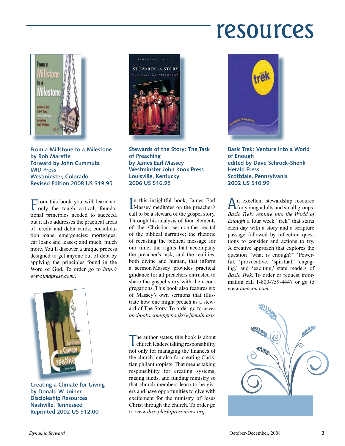### resources



**From a Millstone to a Milestone by Bob Marette Forward by John Cummuta IMD Press Westminster, Colorado Revised Edition 2008 US \$19.95**

From this book you will learn not only the tough critical, foundational principles needed to succeed, but it also addresses the practical areas of: credit and debit cards; consolidation loans; emergencies; mortgages; car loans and leases; and much, much more. You'll discover a unique process designed to get anyone out of debt by applying the principles found in the Word of God. To order go to *http:// www.imdpress.com/.*



**Creating a Climate for Giving by Donald W. Joiner Discipleship Resources Nashville, Tennessee Reprinted 2002 US \$12.00**



**Stewards of the Story: The Task of Preaching by James Earl Massey Westminster John Knox Press Louisville, Kentucky 2006 US \$16.95**

In this insightful book, James Earl<br>Massey meditates on the preacher's n this insightful book, James Earl call to be a steward of the gospel story. Through his analysis of four elements of the Christian sermon the recital of the biblical narrative; the rhetoric of recasting the biblical message for our time; the rights that accompany the preacher's task; and the realities, both divine and human, that inform a sermon Massey provides practical guidance for all preachers entrusted to share the gospel story with their congregations. This book also features six of Massey's own sermons that illustrate how one might preach as a steward of The Story. To order go to *www. ppcbooks.com/ppcbooks/wjkmain.asp.*

The author states, this book is about church leaders taking responsibility not only for managing the finances of the church but also for creating Christian philanthropists. That means taking responsibility for creating systems, raising funds, and funding ministry so that church members learn to be givers and have opportunities to give with excitement for the ministry of Jesus Christ through the church. To order go to *www.discipleshipresources.org.*



**Basic Trek: Venture into a World of Enough edited by Dave Schrock-Shenk Herald Press Scottdale, Pennsylvania 2002 US \$10.99**

An excellent stewardship resource for young adults and small groups. *Basic Trek: Venture into the World of Enough* a four week "trek" that starts each day with a story and a scripture passage followed by reflection questions to consider and actions to try. A creative approach that explores the question "what is enough?" 'Powerful,' 'provocative,' 'spiritual,' 'engaging,' and 'exciting,' state readers of *Basic Trek*. To order or request information call 1-800-759-4447 or go to *www.amazon.com.*

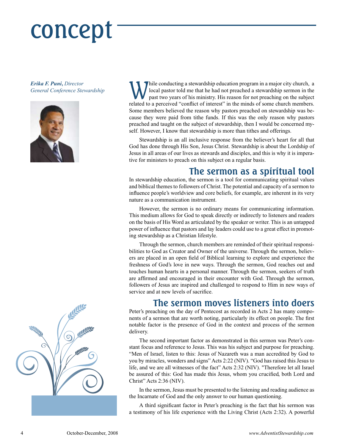## concept

*Erika F. Puni***,** *Director*





*General Conference Stewardship* While conducting a stewardship education program in a major city church, a General Conference Stewardship local pastor told me that he had not preached a stewardship sermon in the past two years of his ministry. His reason for not preaching on the subject related to a perceived "conflict of interest" in the minds of some church members. Some members believed the reason why pastors preached on stewardship was because they were paid from tithe funds. If this was the only reason why pastors preached and taught on the subject of stewardship, then I would be concerned myself. However, I know that stewardship is more than tithes and offerings.

> Stewardship is an all inclusive response from the believer's heart for all that God has done through His Son, Jesus Christ. Stewardship is about the Lordship of Jesus in all areas of our lives as stewards and disciples, and this is why it is imperative for ministers to preach on this subject on a regular basis.

### **The sermon as a spiritual tool**

In stewardship education, the sermon is a tool for communicating spiritual values and biblical themes to followers of Christ. The potential and capacity of a sermon to influence people's worldview and core beliefs, for example, are inherent in its very nature as a communication instrument.

However, the sermon is no ordinary means for communicating information. This medium allows for God to speak directly or indirectly to listeners and readers on the basis of His Word as articulated by the speaker or writer. This is an untapped power of influence that pastors and lay leaders could use to a great effect in promoting stewardship as a Christian lifestyle.

Through the sermon, church members are reminded of their spiritual responsibilities to God as Creator and Owner of the universe. Through the sermon, believers are placed in an open field of Biblical learning to explore and experience the freshness of God's love in new ways. Through the sermon, God reaches out and touches human hearts in a personal manner. Through the sermon, seekers of truth are affirmed and encouraged in their encounter with God. Through the sermon, followers of Jesus are inspired and challenged to respond to Him in new ways of service and at new levels of sacrifice.

### **The sermon moves listeners into doers**

Peter's preaching on the day of Pentecost as recorded in Acts 2 has many components of a sermon that are worth noting, particularly its effect on people. The first notable factor is the presence of God in the context and process of the sermon delivery.

The second important factor as demonstrated in this sermon was Peter's constant focus and reference to Jesus. This was his subject and purpose for preaching. "Men of Israel, listen to this: Jesus of Nazareth was a man accredited by God to you by miracles, wonders and signs" Acts 2:22 (NIV). "God has raised this Jesus to life, and we are all witnesses of the fact" Acts 2:32 (NIV). "Therefore let all Israel be assured of this: God has made this Jesus, whom you crucified, both Lord and Christ" Acts 2:36 (NIV).

In the sermon, Jesus must be presented to the listening and reading audience as the Incarnate of God and the only answer to our human questioning.

A third significant factor in Peter's preaching is the fact that his sermon was a testimony of his life experience with the Living Christ (Acts 2:32). A powerful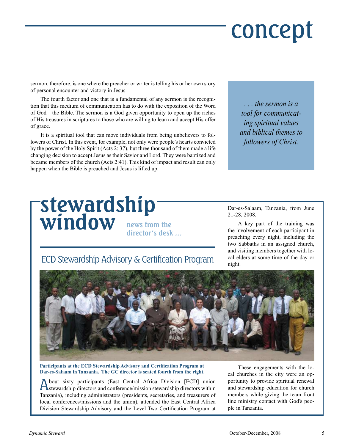## concept

sermon, therefore, is one where the preacher or writer is telling his or her own story of personal encounter and victory in Jesus.

The fourth factor and one that is a fundamental of any sermon is the recognition that this medium of communication has to do with the exposition of the Word of God—the Bible. The sermon is a God given opportunity to open up the riches of His treasures in scriptures to those who are willing to learn and accept His offer of grace.

It is a spiritual tool that can move individuals from being unbelievers to followers of Christ. In this event, for example, not only were people's hearts convicted by the power of the Holy Spirit (Acts 2: 37), but three thousand of them made a life changing decision to accept Jesus as their Savior and Lord. They were baptized and became members of the church (Acts 2:41). This kind of impact and result can only happen when the Bible is preached and Jesus is lifted up.

**stewardship**

**window news from the**

*. . . the sermon is a tool for communicating spiritual values and biblical themes to followers of Christ.*

Dar-es-Salaam, Tanzania, from June 21-28, 2008.

A key part of the training was the involvement of each participant in preaching every night, including the two Sabbaths in an assigned church, and visiting members together with local elders at some time of the day or night.

### ECD Stewardship Advisory & Certification Program

**director's desk …**



**Participants at the ECD Stewardship Advisory and Certification Program at Dar-es-Salaam in Tanzania. The GC director is seated fourth from the right.**

About sixty participants (East Central Africa Division [ECD] union stewardship directors and conference/mission stewardship directors within Tanzania), including administrators (presidents, secretaries, and treasurers of local conferences/missions and the union), attended the East Central Africa Division Stewardship Advisory and the Level Two Certification Program at

These engagements with the local churches in the city were an opportunity to provide spiritual renewal and stewardship education for church members while giving the team front line ministry contact with God's people in Tanzania.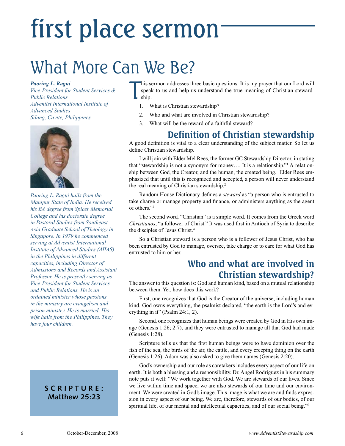## first place sermon

### What More Can We Be?

#### *Paoring L. Ragui*

*Vice-President for Student Services & Public Relations Adventist International Institute of Advanced Studies Silang, Cavite, Philippines*



*Paoring L. Ragui hails from the Manipur State of India. He received his BA degree from Spicer Memorial College and his doctorate degree in Pastoral Studies from Southeast Asia Graduate School of Theology in Singapore. In 1979 he commenced serving at Adventist International Institute of Advanced Studies (AIIAS) in the Philippines in different capacities, including Director of Admissions and Records and Assistant Professor. He is presently serving as Vice-President for Student Services and Public Relations. He is an ordained minister whose passions in the ministry are evangelism and prison ministry. He is married. His wife hails from the Philippines. They have four children.*

### **SCRIPTURE: Matthew 25:23**

T his sermon addresses three basic questions. It is my prayer that our Lord will speak to us and help us understand the true meaning of Christian stewardship.

- 1. What is Christian stewardship?
- 2. Who and what are involved in Christian stewardship?
- 3. What will be the reward of a faithful steward?

### **Definition of Christian stewardship**

A good definition is vital to a clear understanding of the subject matter. So let us define Christian stewardship.

I will join with Elder Mel Rees, the former GC Stewardship Director, in stating that "stewardship is not a synonym for money.... It is a relationship."<sup>1</sup> A relationship between God, the Creator, and the human, the created being. Elder Rees emphasized that until this is recognized and accepted, a person will never understand the real meaning of Christian stewardship.<sup>2</sup>

Random House Dictionary defines a *steward* as "a person who is entrusted to take charge or manage property and finance, or administers anything as the agent of others."3

The second word, "Christian" is a simple word. It comes from the Greek word *Christianos*, "a follower of Christ." It was used first in Antioch of Syria to describe the disciples of Jesus Christ.4

So a Christian steward is a person who is a follower of Jesus Christ, who has been entrusted by God to manage, oversee, take charge or to care for what God has entrusted to him or her.

### **Who and what are involved in Christian stewardship?**

The answer to this question is: God and human kind, based on a mutual relationship between them. Yet, how does this work?

First, one recognizes that God is the Creator of the universe, including human kind. God owns everything, the psalmist declared, "the earth is the Lord's and everything in it" (Psalm 24:1, 2).

Second, one recognizes that human beings were created by God in His own image (Genesis 1:26; 2:7), and they were entrusted to manage all that God had made (Genesis 1:28).

Scripture tells us that the first human beings were to have dominion over the fish of the sea, the birds of the air, the cattle, and every creeping thing on the earth (Genesis 1:26). Adam was also asked to give them names (Genesis 2:20).

God's ownership and our role as caretakers includes every aspect of our life on earth. It is both a blessing and a responsibility. Dr. Angel Rodriguez in his summary note puts it well: "We work together with God. We are stewards of our lives. Since we live within time and space, we are also stewards of our time and our environment. We were created in God's image. This image is what we are and finds expression in every aspect of our being. We are, therefore, stewards of our bodies, of our spiritual life, of our mental and intellectual capacities, and of our social being."<sup>5</sup>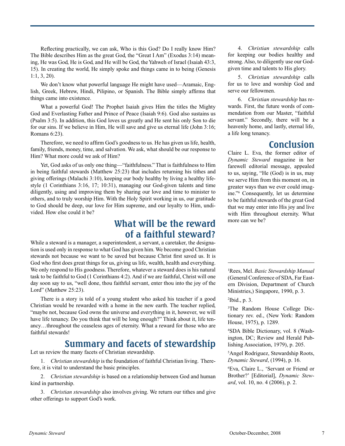Reflecting practically, we can ask, Who is this God? Do I really know Him? The Bible describes Him as the great God, the "Great I Am" (Exodus 3:14) meaning, He was God, He is God, and He will be God, the Yahweh of Israel (Isaiah 43:3, 15). In creating the world, He simply spoke and things came in to being (Genesis 1:1, 3, 20).

We don't know what powerful language He might have used—Aramaic, English, Greek, Hebrew, Hindi, Pilipino, or Spanish. The Bible simply affirms that things came into existence.

What a powerful God! The Prophet Isaiah gives Him the titles the Mighty God and Everlasting Father and Prince of Peace (Isaiah 9:6). God also sustains us (Psalm 3:5). In addition, this God loves us greatly and He sent his only Son to die for our sins. If we believe in Him, He will save and give us eternal life (John 3:16; Romans 6:23).

Therefore, we need to affirm God's goodness to us. He has given us life, health, family, friends, money, time, and salvation. We ask, what should be our response to Him? What more could we ask of Him?

Yet, God asks of us only one thing—"faithfulness." That is faithfulness to Him in being faithful stewards (Matthew 25:23) that includes returning his tithes and giving offerings (Malachi 3:10), keeping our body healthy by living a healthy lifestyle (1 Corinthians 3:16, 17; 10:31), managing our God-given talents and time diligently, using and improving them by sharing our love and time to minister to others, and to truly worship Him. With the Holy Spirit working in us, our gratitude to God should be deep, our love for Him supreme, and our loyalty to Him, undivided. How else could it be?

### **What will be the reward of a faithful steward?**

While a steward is a manager, a superintendent, a servant, a caretaker, the designation is used only in response to what God has given him. We become good Christian stewards not because we want to be saved but because Christ first saved us. It is God who first does great things for us, giving us life, wealth, health and everything. We only respond to His goodness. Therefore, whatever a steward does is his natural task to be faithful to God (1 Corinthians 4:2). And if we are faithful, Christ will one day soon say to us, "well done, thou faithful servant, enter thou into the joy of the Lord" (Matthew 25:23).

There is a story is told of a young student who asked his teacher if a good Christian would be rewarded with a home in the new earth. The teacher replied, "maybe not, because God owns the universe and everything in it, however, we will have life tenancy. Do you think that will be long enough?" Think about it, life tenancy…throughout the ceaseless ages of eternity. What a reward for those who are faithful stewards!

### **Summary and facets of stewardship**

Let us review the many facets of Christian stewardship.

1. *Christian stewardship* is the foundation of faithful Christian living. Therefore, it is vital to understand the basic principles.

2. *Christian stewardship* is based on a relationship between God and human kind in partnership.

3. *Christian stewardship* also involves *g*iving. We return our tithes and give other offerings to support God's work.

4. *Christian stewardship* calls for keeping our bodies healthy and strong. Also, to diligently use our Godgiven time and talents to His glory.

5. *Christian stewardship* calls for us to love and worship God and serve our fellowmen.

6. *Christian stewardship* has rewards. First, the future words of commendation from our Master, "faithful servant." Secondly, there will be a heavenly home, and lastly, eternal life, a life long tenancy.

### **Conclusion**

Claire L. Eva, the former editor of *Dynamic Steward* magazine in her farewell editorial message, appealed to us, saying, "He (God) is in us, may we serve Him from this moment on, in greater ways than we ever could imagine."6 Consequently, let us determine to be faithful stewards of the great God that we may enter into His joy and live with Him throughout eternity. What more can we be?

1 Rees, Mel. *Basic Stewardship Manual* (General Conference of SDA, Far Eastern Division, Department of Church Ministries,) Singapore, 1990, p. 3.

2 Ibid., p. 3.

3 The Random House College Dictionary rev. ed., (New York: Random House, 1975), p. 1289.

4 SDA Bible Dictionary, vol. 8 (Washington, DC; Review and Herald Publishing Association, 1979), p. 205.

5 Angel Rodriguez, Stewardship Roots, *Dynamic Steward*, (1994), p. 16.

6 Eva, Claire L., 'Servant or Friend or Brother?' [Editorial], *Dynamic Steward*, vol. 10, no. 4 (2006), p. 2.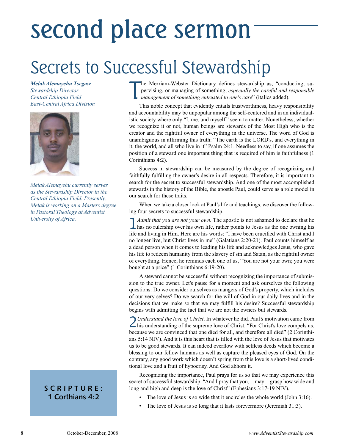### second place sermon

### Secrets to Successful Stewardship

*Melak Alemayehu Tsegaw Stewardship Director Central Ethiopia Field East-Central Africa Division*



*Melak Alemayehu currently serves as the Stewardship Director in the Central Ethiopia Field. Presently, Melak is working on a Masters degree in Pastoral Theology at Adventist University of Africa.*

### **SCRIPTURE: 1 Corthians 4:2**

T he Merriam-Webster Dictionary defines stewardship as, "conducting, supervising, or managing of something, *especially the careful and responsible management of something entrusted to one's care*" (italics added).

This noble concept that evidently entails trustworthiness, heavy responsibility and accountability may be unpopular among the self-centered and in an individualistic society where only "I, me, and myself" seem to matter. Nonetheless, whether we recognize it or not, human beings are stewards of the Most High who is the creator and the rightful owner of everything in the universe. The word of God is unambiguous in affirming this truth: "The earth is the LORD's, and everything in it, the world, and all who live in it" Psalm 24:1. Needless to say, if one assumes the position of a steward one important thing that is required of him is faithfulness (1 Corinthians 4:2).

Success in stewardship can be measured by the degree of recognizing and faithfully fulfilling the owner's desire in all respects. Therefore, it is important to search for the secret to successful stewardship. And one of the most accomplished stewards in the history of the Bible, the apostle Paul, could serve as a role model in our search for these traits.

When we take a closer look at Paul's life and teachings, we discover the following four secrets to successful stewardship.

1 *Admit that you are not your own.* The apostle is not ashamed to declare that he has no rulership over his own life, rather points to Jesus as the one owning his life and living in Him. Here are his words: "I have been crucified with Christ and I no longer live, but Christ lives in me" (Galatians 2:20-21). Paul counts himself as a dead person when it comes to leading his life and acknowledges Jesus, who gave his life to redeem humanity from the slavery of sin and Satan, as the rightful owner of everything. Hence, he reminds each one of us, "You are not your own; you were bought at a price" (1 Corinthians 6:19-20).

A steward cannot be successful without recognizing the importance of submission to the true owner. Let's pause for a moment and ask ourselves the following questions: Do we consider ourselves as mangers of God's property, which includes of our very selves? Do we search for the will of God in our daily lives and in the decisions that we make so that we may fulfill his desire? Successful stewardship begins with admitting the fact that we are not the owners but stewards.

2*Understand the love of Christ*. In whatever he did, Paul's motivation came from his understanding of the supreme love of Christ. "For Christ's love compels us, because we are convinced that one died for all, and therefore all died" (2 Corinthians 5:14 NIV). And it is this heart that is filled with the love of Jesus that motivates us to be good stewards. It can indeed overflow with selfless deeds which become a blessing to our fellow humans as well as capture the pleased eyes of God. On the contrary, any good work which doesn't spring from this love is a short-lived conditional love and a fruit of hypocrisy. And God abhors it.

Recognizing the importance, Paul prays for us so that we may experience this secret of successful stewardship. "And I pray that you,…may…grasp how wide and long and high and deep is the love of Christ" (Ephesians 3:17-19 NIV).

- The love of Jesus is so wide that it encircles the whole world (John  $3:16$ ).
- The love of Jesus is so long that it lasts forevermore (Jeremiah 31:3).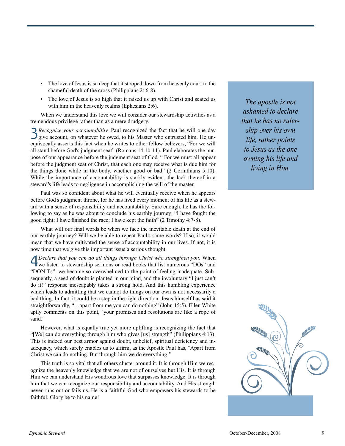- The love of Jesus is so deep that it stooped down from heavenly court to the shameful death of the cross (Philippians 2: 6-8).
- The love of Jesus is so high that it raised us up with Christ and seated us with him in the heavenly realms (Ephesians 2:6).

When we understand this love we will consider our stewardship activities as a tremendous privilege rather than as a mere drudgery.

3*Recognize your accountability.* Paul recognized the fact that he will one day give account, on whatever he owed, to his Master who entrusted him. He unequivocally asserts this fact when he writes to other fellow believers, "For we will all stand before God's judgment seat" (Romans 14:10-11). Paul elaborates the purpose of our appearance before the judgment seat of God, " For we must all appear before the judgment seat of Christ, that each one may receive what is due him for the things done while in the body, whether good or bad" (2 Corinthians 5:10). While the importance of accountability is starkly evident, the lack thereof in a steward's life leads to negligence in accomplishing the will of the master.

Paul was so confident about what he will eventually receive when he appears before God's judgment throne, for he has lived every moment of his life as a steward with a sense of responsibility and accountability. Sure enough, he has the following to say as he was about to conclude his earthly journey: "I have fought the good fight; I have finished the race; I have kept the faith" (2 Timothy 4:7-8).

What will our final words be when we face the inevitable death at the end of our earthly journey? Will we be able to repeat Paul's same words? If so, it would mean that we have cultivated the sense of accountability in our lives. If not, it is now time that we give this important issue a serious thought.

**4** *Declare that you can do all things through Christ who strengthen you*. When we listen to stewardship sermons or read books that list numerous "DOs" and "DON'Ts", we become so overwhelmed to the point of feeling inadequate. Subsequently, a seed of doubt is planted in our mind, and the involuntary "I just can't do it!" response inescapably takes a strong hold. And this humbling experience which leads to admitting that we cannot do things on our own is not necessarily a bad thing. In fact, it could be a step in the right direction. Jesus himself has said it straightforwardly, "…apart from me you can do nothing" (John 15:5). Ellen White aptly comments on this point, 'your promises and resolutions are like a rope of sand.'

However, what is equally true yet more uplifting is recognizing the fact that "[We] can do everything through him who gives [us] strength" (Philippians 4:13). This is indeed our best armor against doubt, unbelief, spiritual deficiency and inadequacy, which surely enables us to affirm, as the Apostle Paul has, "Apart from Christ we can do nothing. But through him we do everything!"

This truth is so vital that all others cluster around it. It is through Him we recognize the heavenly knowledge that we are not of ourselves but His. It is through Him we can understand His wondrous love that surpasses knowledge. It is through him that we can recognize our responsibility and accountability. And His strength never runs out or fails us. He is a faithful God who empowers his stewards to be faithful. Glory be to his name!

*The apostle is not ashamed to declare that he has no rulership over his own life, rather points to Jesus as the one owning his life and living in Him.*

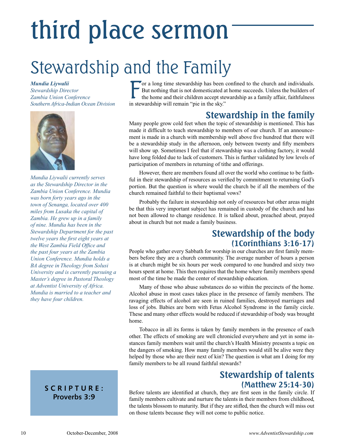## third place sermon

### Stewardship and the Family

### *Mundia Liywalii*

*Stewardship Director Zambia Union Conference Southern Africa-Indian Ocean Division*



*Mundia Liywalii currently serves as the Stewardship Director in the Zambia Union Conference. Mundia was born forty years ago in the town of Senanga, located over 400 miles from Lusaka the capital of Zambia. He grew up in a family of nine. Mundia has been in the Stewardship Department for the past twelve years─the first eight years at the West Zambia Field Office and the past four years at the Zambia Union Conference. Mundia holds a BA degree in Theology from Solusi University and is currently pursuing a Master's degree in Pastoral Theology at Adventist University of Africa. Mundia is married to a teacher and they have four children.*

### **SCRIPTURE: Proverbs 3:9**

F or a long time stewardship has been confined to the church and individuals. But nothing that is not domesticated at home succeeds. Unless the builders of the home and their children accept stewardship as a family affair, faithfulness in stewardship will remain "pie in the sky."

### **Stewardship in the family**

Many people grow cold feet when the topic of stewardship is mentioned. This has made it difficult to teach stewardship to members of our church. If an announcement is made in a church with membership well above five hundred that there will be a stewardship study in the afternoon, only between twenty and fifty members will show up. Sometimes I feel that if stewardship was a clothing factory, it would have long folded due to lack of customers. This is further validated by low levels of participation of members in returning of tithe and offerings.

However, there are members found all over the world who continue to be faithful in their stewardship of resources as verified by commitment to returning God's portion. But the question is where would the church be if all the members of the church remained faithful to their baptismal vows?

Probably the failure in stewardship not only of resources but other areas might be that this very important subject has remained in custody of the church and has not been allowed to change residence. It is talked about, preached about, prayed about in church but not made a family business.

### **Stewardship of the body (1Corinthians 3:16-17)**

People who gather every Sabbath for worship in our churches are first family members before they are a church community. The average number of hours a person is at church might be six hours per week compared to one hundred and sixty two hours spent at home. This then requires that the home where family members spend most of the time be made the center of stewardship education.

Many of those who abuse substances do so within the precincts of the home. Alcohol abuse in most cases takes place in the presence of family members. The ravaging effects of alcohol are seen in ruined families, destroyed marriages and loss of jobs. Babies are born with Fetus Alcohol Syndrome in the family circle. These and many other effects would be reduced if stewardship of body was brought home.

Tobacco in all its forms is taken by family members in the presence of each other. The effects of smoking are well chronicled everywhere and yet in some instances family members wait until the church's Health Ministry presents a topic on the dangers of smoking. How many family members would still be alive were they helped by those who are their next of kin? The question is what am I doing for my family members to be all round faithful stewards?

### **Stewardship of talents (Matthew 25:14-30)**

Before talents are identified at church, they are first seen in the family circle. If family members cultivate and nurture the talents in their members from childhood, the talents blossom to maturity. But if they are stifled, then the church will miss out on those talents because they will not come to public notice.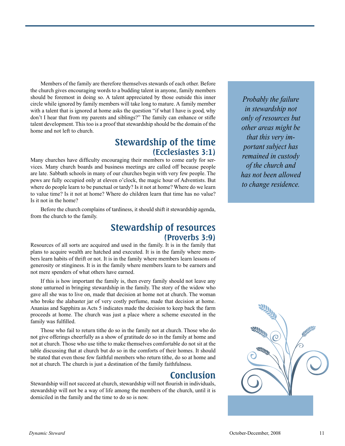Members of the family are therefore themselves stewards of each other. Before the church gives encouraging words to a budding talent in anyone, family members should be foremost in doing so. A talent appreciated by those outside this inner circle while ignored by family members will take long to mature. A family member with a talent that is ignored at home asks the question "if what I have is good, why don't I hear that from my parents and siblings?" The family can enhance or stifle talent development. This too is a proof that stewardship should be the domain of the home and not left to church.

### **Stewardship of the time (Ecclesiastes 3:1)**

Many churches have difficulty encouraging their members to come early for services. Many church boards and business meetings are called off because people are late. Sabbath schools in many of our churches begin with very few people. The pews are fully occupied only at eleven o'clock, the magic hour of Adventists. But where do people learn to be punctual or tardy? Is it not at home? Where do we learn to value time? Is it not at home? Where do children learn that time has no value? Is it not in the home?

Before the church complains of tardiness, it should shift it stewardship agenda, from the church to the family.

### **Stewardship of resources (Proverbs 3:9)**

Resources of all sorts are acquired and used in the family. It is in the family that plans to acquire wealth are hatched and executed. It is in the family where members learn habits of thrift or not. It is in the family where members learn lessons of generosity or stinginess. It is in the family where members learn to be earners and not mere spenders of what others have earned.

If this is how important the family is, then every family should not leave any stone unturned in bringing stewardship in the family. The story of the widow who gave all she was to live on, made that decision at home not at church. The woman who broke the alabaster jar of very costly perfume, made that decision at home. Ananias and Sapphira as Acts 5 indicates made the decision to keep back the farm proceeds at home. The church was just a place where a scheme executed in the family was fulfilled.

Those who fail to return tithe do so in the family not at church. Those who do not give offerings cheerfully as a show of gratitude do so in the family at home and not at church. Those who use tithe to make themselves comfortable do not sit at the table discussing that at church but do so in the comforts of their homes. It should be stated that even those few faithful members who return tithe, do so at home and not at church. The church is just a destination of the family faithfulness.

### **Conclusion**

Stewardship will not succeed at church, stewardship will not flourish in individuals, stewardship will not be a way of life among the members of the church, until it is domiciled in the family and the time to do so is now.

*Probably the failure in stewardship not only of resources but other areas might be that this very important subject has remained in custody of the church and has not been allowed to change residence.* 

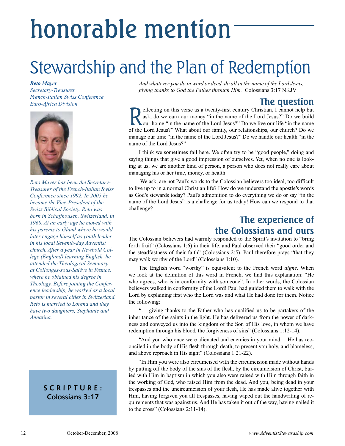## honorable mention

### Stewardship and the Plan of Redemption

#### *Reto Mayer*

*Secretary-Treasurer French-Italian Swiss Conference Euro-Africa Division*



*Reto Mayer has been the Secretary-Treasurer of the French-Italian Swiss Conference since 1992. In 2005 he became the Vice-President of the Swiss Biblical Society. Reto was born in Schaffhousen, Switzerland, in 1960. At an early age he moved with his parents to Gland where he would later engage himself as youth leader in his local Seventh-day Adventist church. After a year in Newbold College (England) learning English, he attended the Theological Seminary at Collonges-sous-Salève in France, where he obtained his degree in Theology. Before joining the Conference leadership, he worked as a local pastor in several cities in Switzerland. Reto is married to Lorena and they have two daughters, Stephanie and Annatina.*

### **SCRIPTURE: Colossians 3:17**

*And whatever you do in word or deed, do all in the name of the Lord Jesus, giving thanks to God the Father through Him.* ─Colossians 3:17 NKJV

**The question**<br>effecting on this verse as a twenty-first century Christian, I cannot help but Reflecting on this verse as a twenty-first century Christian, I cannot help but ask, do we earn our money "in the name of the Lord Jesus?" Do we build our home "in the name of the Lord Jesus?" Do we live our life "in the n ask, do we earn our money "in the name of the Lord Jesus?" Do we build of the Lord Jesus?" What about our family, our relationships, our church? Do we manage our time "in the name of the Lord Jesus?" Do we handle our health "in the name of the Lord Jesus?"

I think we sometimes fail here. We often try to be "good people," doing and saying things that give a good impression of ourselves. Yet, when no one is looking at us, we are another kind of person, a person who does not really care about managing his or her time, money, or health.

 We ask, are not Paul's words to the Colossian believers too ideal, too difficult to live up to in a normal Christian life? How do we understand the apostle's words as God's stewards today? Paul's admonition to do everything we do or say "in the name of the Lord Jesus" is a challenge for us today! How can we respond to that challenge?

### **The experience of the Colossians and ours**

The Colossian believers had warmly responded to the Spirit's invitation to "bring forth fruit" (Colossians 1:6) in their life, and Paul observed their "good order and the steadfastness of their faith" (Colossians 2:5). Paul therefore prays "that they may walk worthy of the Lord" (Colossians 1:10).

The English word "worthy" is equivalent to the French word *digne*. When we look at the definition of this word in French, we find this explanation: "He who agrees, who is in conformity with someone". In other words, the Colossian believers walked in conformity of the Lord! Paul had guided them to walk with the Lord by explaining first who the Lord was and what He had done for them. Notice the following:

"… giving thanks to the Father who has qualified us to be partakers of the inheritance of the saints in the light. He has delivered us from the power of darkness and conveyed us into the kingdom of the Son of His love, in whom we have redemption through his blood, the forgiveness of sins" (Colossians 1:12-14).

"And you who once were alienated and enemies in your mind… He has reconciled in the body of His flesh through death, to present you holy, and blameless, and above reproach in His sight" (Colossians 1:21-22).

"In Him you were also circumcised with the circumcision made without hands by putting off the body of the sins of the flesh, by the circumcision of Christ, buried with Him in baptism in which you also were raised with Him through faith in the working of God, who raised Him from the dead. And you, being dead in your trespasses and the uncircumcision of your flesh, He has made alive together with Him, having forgiven you all trespasses, having wiped out the handwriting of requirements that was against us. And He has taken it out of the way, having nailed it to the cross" (Colossians 2:11-14).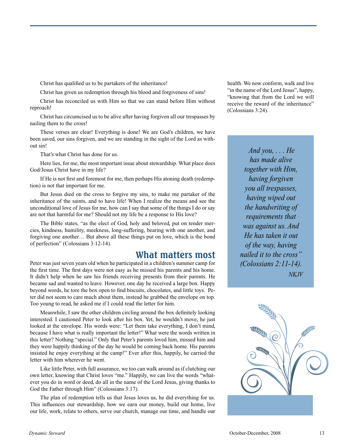Christ has qualified us to be partakers of the inheritance!

Christ has given us redemption through his blood and forgiveness of sins!

Christ has reconciled us with Him so that we can stand before Him without reproach!

Christ has circumcised us to be alive after having forgiven all our trespasses by nailing them to the cross!

These verses are clear! Everything is done! We are God's children, we have been saved, our sins forgiven, and we are standing in the sight of the Lord as without sin!

That's what Christ has done for us.

Here lies, for me, the most important issue about stewardship. What place does God/Jesus Christ have in my life?

If He is not first and foremost for me, then perhaps His atoning death (redemption) is not that important for me.

But Jesus died on the cross to forgive my sins, to make me partaker of the inheritance of the saints, and to have life! When I realize the means and see the unconditional love of Jesus for me, how can I say that some of the things I do or say are not that harmful for me? Should not my life be a response to His love?

The Bible states, "as the elect of God, holy and beloved, put on tender mercies, kindness, humility, meekness, long-suffering, bearing with one another, and forgiving one another… But above all these things put on love, which is the bond of perfection" (Colossians 3:12-14).

### **What matters most**

Peter was just seven years old when he participated in a children's summer camp for the first time. The first days were not easy as he missed his parents and his home. It didn't help when he saw his friends receiving presents from their parents. He became sad and wanted to leave. However, one day he received a large box. Happy beyond words, he tore the box open to find biscuits, chocolates, and little toys. Peter did not seem to care much about them, instead he grabbed the envelope on top. Too young to read, he asked me if I could read the letter for him.

Meanwhile, I saw the other children circling around the box definitely looking interested. I cautioned Peter to look after his box. Yet, he wouldn't move, he just looked at the envelope. His words were: "Let them take everything, I don't mind, because I have what is really important the letter!" What were the words written in this letter? Nothing "special." Only that Peter's parents loved him, missed him and they were happily thinking of the day he would be coming back home. His parents insisted he enjoy everything at the camp!" Ever after this, happily, he carried the letter with him wherever he went.

Like little Peter, with full assurance, we too can walk around as if clutching our own letter, knowing that Christ loves "me." Happily, we can live the words "whatever you do in word or deed, do all in the name of the Lord Jesus, giving thanks to God the Father through Him" (Colossians 3:17).

The plan of redemption tells us that Jesus loves us, he did everything for us. This influences our stewardship, how we earn our money, build our home, live our life, work, relate to others, serve our church, manage our time, and handle our health. We now conform, walk and live "in the name of the Lord Jesus", happy, "knowing that from the Lord we will receive the reward of the inheritance" (Colossians 3:24).

> *And you, . . . He has made alive together with Him, having forgiven you all trespasses, having wiped out the handwriting of requirements that was against us. And He has taken it out of the way, having nailed it to the cross" (Colossians 2:11-14). NKJV*

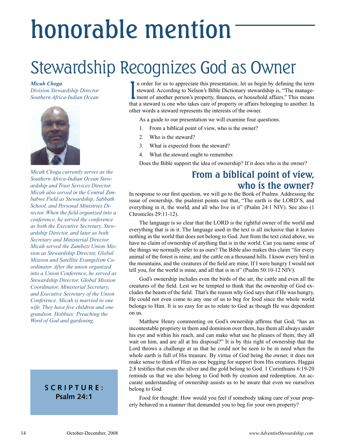## honorable mention

### Stewardship Recognizes God as Owner

*Micah Choga Division Stewardship Director Southern Africa-Indian Ocean*



*Micah Choga currently serves as the Southern Africa-Indian Ocean Stewardship and Trust Services Director. Micah also served in the Central Zimbabwe Field as Stewardship, Sabbath School, and Personal Ministries Director. When the field organized into a conference, he served the conference as both the Executive Secretary, Stewardship Director, and later as both Secretary and Ministerial Director. Micah served the Zambezi Union Mission as Stewardship Director, Global Mission and Satellite Evangelism Coordinator. After the union organized into a Union Conference, he served as Stewardship Director, Global Mission Coordinator, Ministerial Secretary, and Executive Secretary of the Union Conference. Micah is married to one wife. They have five children and one grandson. Hobbies: Preaching the Word of God and gardening.*

### **SCRIPTURE: Psalm 24:1**

In order for us to appreciate this presentation, let us begin by defining the term<br>steward. According to Nelson's Bible Dictionary stewardship is, "The manage-<br>ment of another person's property, finances, or household affa n order for us to appreciate this presentation, let us begin by defining the term steward. According to Nelson's Bible Dictionary stewardship is, "The managethat a steward is one who takes care of property or affairs belonging to another. In other words a steward represents the interests of the owner.

As a guide to our presentation we will examine four questions.

- 1. From a biblical point of view, who is the owner?
- 2. Who is the steward?
- 3. What is expected from the steward?
- 4. What the steward ought to remember.

Does the Bible support the idea of ownership? If it does who is the owner?

### **From a biblical point of view, who is the owner?**

In response to our first question, we will go to the Book of Psalms. Addressing the issue of ownership, the psalmist points out that, "The earth is the LORD'S, and everything in it, the world, and all who live in it" (Psalm 24:1 NIV). See also (1 Chronicles 29:11-12).

The language is so clear that the LORD is the rightful owner of the world and everything that is in it. The language used in the text is all inclusive that it leaves nothing in the world that does not belong to God. Just from the text cited above, we have no claim of ownership of anything that is in the world. Can you name some of the things we normally refer to as ours? The Bible also makes this claim "for every animal of the forest is mine, and the cattle on a thousand hills. I know every bird in the mountains, and the creatures of the field are mine, If I were hungry I would not tell you, for the world is mine, and all that is in it" (Psalm 50:10-12 NIV).

God's ownership includes even the birds of the air, the cattle and even all the creatures of the field. Lest we be tempted to think that the ownership of God excludes the beasts of the field. That's the reason why God says that if He was hungry, He could not even come to any one of us to beg for food since the whole world belongs to Him. It is so easy for us to relate to God as though He was dependent on us.

Matthew Henry commenting on God's ownership affirms that God, "has an incontestable propriety in them and dominion over them, has them all always under his eye and within his reach, and can make what use he pleases of them; they all wait on him, and are all at his disposal?" It is by this right of ownership that the Lord throws a challenge at us that he could not be seen to be in need when the whole earth is full of His treasure. By virtue of God being the owner, it does not make sense to think of Him as one begging for support from His creatures. Haggai 2:8 testifies that even the silver and the gold belong to God. 1 Corinthians 6:19-20 reminds us that we also belong to God both by creation and redemption. An accurate understanding of ownership assists us to be aware that even we ourselves belong to God.

Food for thought: How would you feel if somebody taking care of your property behaved in a manner that demanded you to beg for your own property?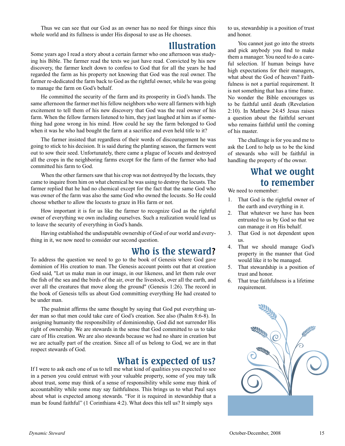Thus we can see that our God as an owner has no need for things since this whole world and its fullness is under His disposal to use as He chooses.

### **Illustration**

Some years ago I read a story about a certain farmer who one afternoon was studying his Bible. The farmer read the texts we just have read. Convicted by his new discovery, the farmer knelt down to confess to God that for all the years he had regarded the farm as his property not knowing that God was the real owner. The farmer re-dedicated the farm back to God as the rightful owner, while he was going to manage the farm on God's behalf.

He committed the security of the farm and its prosperity in God's hands. The same afternoon the farmer met his fellow neighbors who were all farmers with high excitement to tell them of his new discovery that God was the real owner of his farm. When the fellow farmers listened to him, they just laughed at him as if something had gone wrong in his mind. How could he say the farm belonged to God when it was he who had bought the farm at a sacrifice and even held title to it?

The farmer insisted that regardless of their words of discouragement he was going to stick to his decision. It is said during the planting season, the farmers went out to sow their seed. Unfortunately, there came a plague of locusts and destroyed all the crops in the neighboring farms except for the farm of the farmer who had committed his farm to God.

When the other farmers saw that his crop was not destroyed by the locusts, they came to inquire from him on what chemical he was using to destroy the locusts. The farmer replied that he had no chemical except for the fact that the same God who was owner of the farm was also the same God who owned the locusts. So He could choose whether to allow the locusts to graze in His farm or not.

How important it is for us like the farmer to recognize God as the rightful owner of everything we own including ourselves. Such a realization would lead us to leave the security of everything in God's hands.

Having established the undisputable ownership of God of our world and everything in it, we now need to consider our second question.

### **Who is the steward?**

To address the question we need to go to the book of Genesis where God gave dominion of His creation to man. The Genesis account points out that at creation God said, "Let us make man in our image, in our likeness, and let them rule over the fish of the sea and the birds of the air, over the livestock, over all the earth, and over all the creatures that move along the ground" (Genesis 1:26). The record in the book of Genesis tells us about God committing everything He had created to be under man.

The psalmist affirms the same thought by saying that God put everything under man so that men could take care of God's creation. See also (Psalm 8:6-8). In assigning humanity the responsibility of dominionship, God did not surrender His right of ownership. We are stewards in the sense that God committed to us to take care of His creation. We are also stewards because we had no share in creation but we are actually part of the creation. Since all of us belong to God, we are in that respect stewards of God.

### **What is expected of us?**

If I were to ask each one of us to tell me what kind of qualities you expected to see in a person you could entrust with your valuable property, some of you may talk about trust, some may think of a sense of responsibility while some may think of accountability while some may say faithfulness. This brings us to what Paul says about what is expected among stewards. "For it is required in stewardship that a man be found faithful" (1 Corinthians 4:2). What does this tell us? It simply says

to us, stewardship is a position of trust and honor.

You cannot just go into the streets and pick anybody you find to make them a manager. You need to do a careful selection. If human beings have high expectations for their managers, what about the God of heaven? Faithfulness is not a partial requirement. It is not something that has a time frame. No wonder the Bible encourages us to be faithful until death (Revelation 2:10). In Matthew 24:45 Jesus raises a question about the faithful servant who remains faithful until the coming of his master.

The challenge is for you and me to ask the Lord to help us to be the kind of stewards who will be faithful in handling the property of the owner.

### **What we ought to remember**

We need to remember:

- 1. That God is the rightful owner of the earth and everything in it.
- 2. That whatever we have has been entrusted to us by God so that we can manage it on His behalf.
- 3. That God is not dependent upon us.
- 4. That we should manage God's property in the manner that God would like it to be managed.
- 5. That stewardship is a position of trust and honor.
- 6. That true faithfulness is a lifetime requirement.